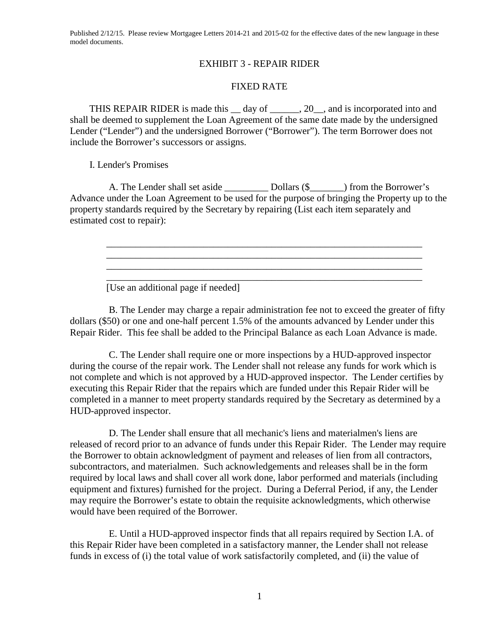Published 2/12/15. Please review Mortgagee Letters 2014-21 and 2015-02 for the effective dates of the new language in these model documents.

## EXHIBIT 3 - REPAIR RIDER

## FIXED RATE

THIS REPAIR RIDER is made this \_\_ day of \_\_\_\_\_\_, 20\_\_, and is incorporated into and shall be deemed to supplement the Loan Agreement of the same date made by the undersigned Lender ("Lender") and the undersigned Borrower ("Borrower"). The term Borrower does not include the Borrower's successors or assigns.

I. Lender's Promises

A. The Lender shall set aside \_\_\_\_\_\_\_\_\_ Dollars (\$\_\_\_\_\_\_\_) from the Borrower's Advance under the Loan Agreement to be used for the purpose of bringing the Property up to the property standards required by the Secretary by repairing (List each item separately and estimated cost to repair):

\_\_\_\_\_\_\_\_\_\_\_\_\_\_\_\_\_\_\_\_\_\_\_\_\_\_\_\_\_\_\_\_\_\_\_\_\_\_\_\_\_\_\_\_\_\_\_\_\_\_\_\_\_\_\_\_\_\_\_\_\_\_\_\_\_ \_\_\_\_\_\_\_\_\_\_\_\_\_\_\_\_\_\_\_\_\_\_\_\_\_\_\_\_\_\_\_\_\_\_\_\_\_\_\_\_\_\_\_\_\_\_\_\_\_\_\_\_\_\_\_\_\_\_\_\_\_\_\_\_\_

\_\_\_\_\_\_\_\_\_\_\_\_\_\_\_\_\_\_\_\_\_\_\_\_\_\_\_\_\_\_\_\_\_\_\_\_\_\_\_\_\_\_\_\_\_\_\_\_\_\_\_\_\_\_\_\_\_\_\_\_\_\_\_\_\_

\_\_\_\_\_\_\_\_\_\_\_\_\_\_\_\_\_\_\_\_\_\_\_\_\_\_\_\_\_\_\_\_\_\_\_\_\_\_\_\_\_\_\_\_\_\_\_\_\_\_\_\_\_\_\_\_\_\_\_\_\_\_\_\_\_

[Use an additional page if needed]

B. The Lender may charge a repair administration fee not to exceed the greater of fifty dollars (\$50) or one and one-half percent 1.5% of the amounts advanced by Lender under this Repair Rider. This fee shall be added to the Principal Balance as each Loan Advance is made.

C. The Lender shall require one or more inspections by a HUD-approved inspector during the course of the repair work. The Lender shall not release any funds for work which is not complete and which is not approved by a HUD-approved inspector. The Lender certifies by executing this Repair Rider that the repairs which are funded under this Repair Rider will be completed in a manner to meet property standards required by the Secretary as determined by a HUD-approved inspector.

D. The Lender shall ensure that all mechanic's liens and materialmen's liens are released of record prior to an advance of funds under this Repair Rider. The Lender may require the Borrower to obtain acknowledgment of payment and releases of lien from all contractors, subcontractors, and materialmen. Such acknowledgements and releases shall be in the form required by local laws and shall cover all work done, labor performed and materials (including equipment and fixtures) furnished for the project. During a Deferral Period, if any, the Lender may require the Borrower's estate to obtain the requisite acknowledgments, which otherwise would have been required of the Borrower.

E. Until a HUD-approved inspector finds that all repairs required by Section I.A. of this Repair Rider have been completed in a satisfactory manner, the Lender shall not release funds in excess of (i) the total value of work satisfactorily completed, and (ii) the value of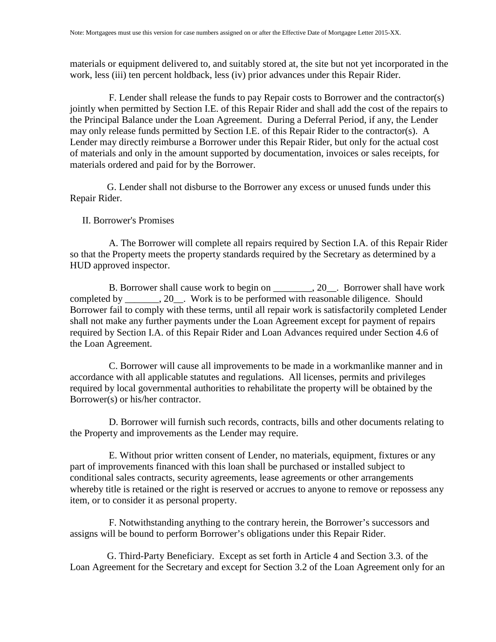materials or equipment delivered to, and suitably stored at, the site but not yet incorporated in the work, less (iii) ten percent holdback, less (iv) prior advances under this Repair Rider.

F. Lender shall release the funds to pay Repair costs to Borrower and the contractor(s) jointly when permitted by Section I.E. of this Repair Rider and shall add the cost of the repairs to the Principal Balance under the Loan Agreement. During a Deferral Period, if any, the Lender may only release funds permitted by Section I.E. of this Repair Rider to the contractor(s). A Lender may directly reimburse a Borrower under this Repair Rider, but only for the actual cost of materials and only in the amount supported by documentation, invoices or sales receipts, for materials ordered and paid for by the Borrower.

G. Lender shall not disburse to the Borrower any excess or unused funds under this Repair Rider.

## II. Borrower's Promises

A. The Borrower will complete all repairs required by Section I.A. of this Repair Rider so that the Property meets the property standards required by the Secretary as determined by a HUD approved inspector.

B. Borrower shall cause work to begin on \_\_\_\_\_\_\_\_, 20\_\_. Borrower shall have work completed by 20. Work is to be performed with reasonable diligence. Should Borrower fail to comply with these terms, until all repair work is satisfactorily completed Lender shall not make any further payments under the Loan Agreement except for payment of repairs required by Section I.A. of this Repair Rider and Loan Advances required under Section 4.6 of the Loan Agreement.

C. Borrower will cause all improvements to be made in a workmanlike manner and in accordance with all applicable statutes and regulations. All licenses, permits and privileges required by local governmental authorities to rehabilitate the property will be obtained by the Borrower(s) or his/her contractor.

D. Borrower will furnish such records, contracts, bills and other documents relating to the Property and improvements as the Lender may require.

E. Without prior written consent of Lender, no materials, equipment, fixtures or any part of improvements financed with this loan shall be purchased or installed subject to conditional sales contracts, security agreements, lease agreements or other arrangements whereby title is retained or the right is reserved or accrues to anyone to remove or repossess any item, or to consider it as personal property.

F. Notwithstanding anything to the contrary herein, the Borrower's successors and assigns will be bound to perform Borrower's obligations under this Repair Rider.

G. Third-Party Beneficiary. Except as set forth in Article 4 and Section 3.3. of the Loan Agreement for the Secretary and except for Section 3.2 of the Loan Agreement only for an